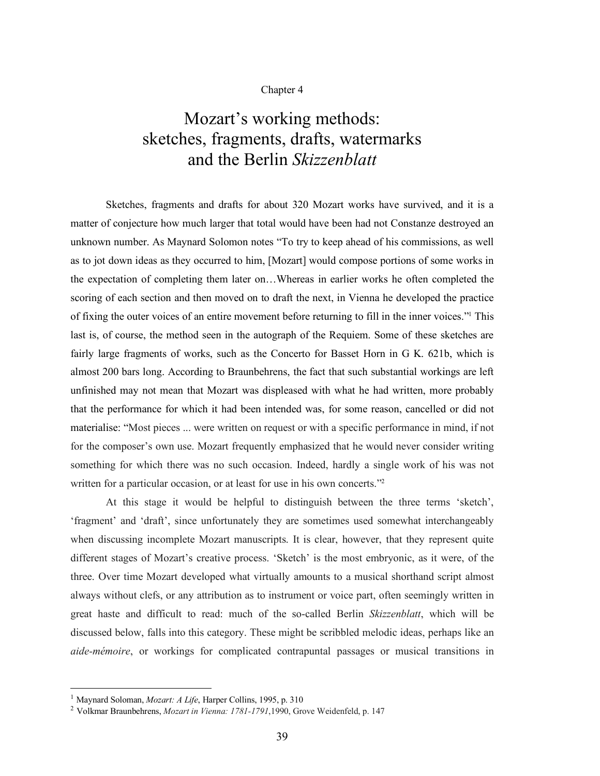## Chapter 4

## Mozart's working methods: sketches, fragments, drafts, watermarks and the Berlin *Skizzenblatt*

Sketches, fragments and drafts for about 320 Mozart works have survived, and it is a matter of conjecture how much larger that total would have been had not Constanze destroyed an unknown number. As Maynard Solomon notes "To try to keep ahead of his commissions, as well as to jot down ideas as they occurred to him, [Mozart] would compose portions of some works in the expectation of completing them later on…Whereas in earlier works he often completed the scoring of each section and then moved on to draft the next, in Vienna he developed the practice of fixing the outer voices of an entire movement before returning to fill in the inner voices."1 This last is, of course, the method seen in the autograph of the Requiem. Some of these sketches are fairly large fragments of works, such as the Concerto for Basset Horn in G K. 621b, which is almost 200 bars long. According to Braunbehrens, the fact that such substantial workings are left unfinished may not mean that Mozart was displeased with what he had written, more probably that the performance for which it had been intended was, for some reason, cancelled or did not materialise: "Most pieces ... were written on request or with a specific performance in mind, if not for the composer's own use. Mozart frequently emphasized that he would never consider writing something for which there was no such occasion. Indeed, hardly a single work of his was not written for a particular occasion, or at least for use in his own concerts."<sup>2</sup>

At this stage it would be helpful to distinguish between the three terms 'sketch', 'fragment' and 'draft', since unfortunately they are sometimes used somewhat interchangeably when discussing incomplete Mozart manuscripts. It is clear, however, that they represent quite different stages of Mozart's creative process. 'Sketch' is the most embryonic, as it were, of the three. Over time Mozart developed what virtually amounts to a musical shorthand script almost always without clefs, or any attribution as to instrument or voice part, often seemingly written in great haste and difficult to read: much of the so-called Berlin *Skizzenblatt*, which will be discussed below, falls into this category. These might be scribbled melodic ideas, perhaps like an *aide-mémoire*, or workings for complicated contrapuntal passages or musical transitions in

 <sup>1</sup> Maynard Soloman, *Mozart: <sup>A</sup> Life*, Harper Collins, 1995, p. <sup>310</sup>

<sup>2</sup> Volkmar Braunbehrens, *Mozart in Vienna: 1781-1791*,1990, Grove Weidenfeld, p. 147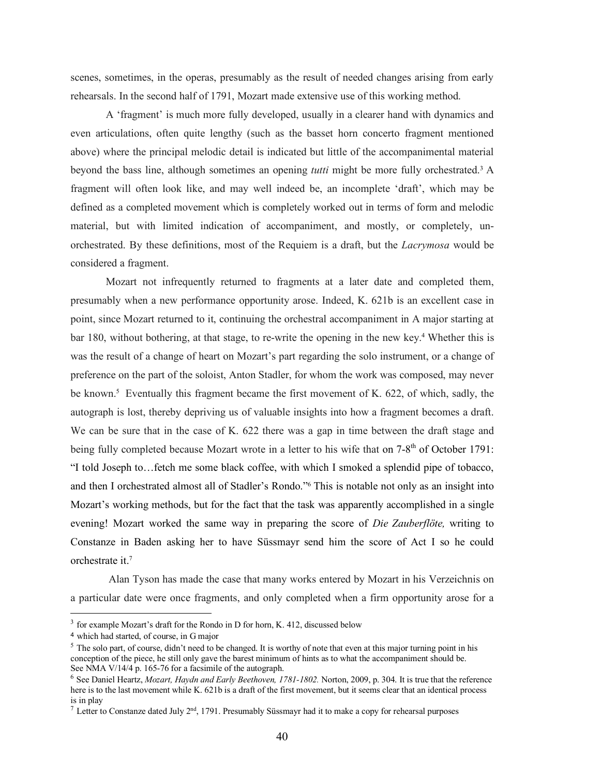scenes, sometimes, in the operas, presumably as the result of needed changes arising from early rehearsals. In the second half of 1791, Mozart made extensive use of this working method.

A 'fragment' is much more fully developed, usually in a clearer hand with dynamics and even articulations, often quite lengthy (such as the basset horn concerto fragment mentioned above) where the principal melodic detail is indicated but little of the accompanimental material beyond the bass line, although sometimes an opening *tutti* might be more fully orchestrated. <sup>3</sup> A fragment will often look like, and may well indeed be, an incomplete 'draft', which may be defined as a completed movement which is completely worked out in terms of form and melodic material, but with limited indication of accompaniment, and mostly, or completely, unorchestrated. By these definitions, most of the Requiem is a draft, but the *Lacrymosa* would be considered a fragment.

Mozart not infrequently returned to fragments at a later date and completed them, presumably when a new performance opportunity arose. Indeed, K. 621b is an excellent case in point, since Mozart returned to it, continuing the orchestral accompaniment in A major starting at bar 180, without bothering, at that stage, to re-write the opening in the new key.4 Whether this is was the result of a change of heart on Mozart's part regarding the solo instrument, or a change of preference on the part of the soloist, Anton Stadler, for whom the work was composed, may never be known.<sup>5</sup> Eventually this fragment became the first movement of K. 622, of which, sadly, the autograph is lost, thereby depriving us of valuable insights into how a fragment becomes a draft. We can be sure that in the case of K. 622 there was a gap in time between the draft stage and being fully completed because Mozart wrote in a letter to his wife that on 7-8<sup>th</sup> of October 1791: "I told Joseph to…fetch me some black coffee, with which I smoked a splendid pipe of tobacco, and then I orchestrated almost all of Stadler's Rondo."6 This is notable not only as an insight into Mozart's working methods, but for the fact that the task was apparently accomplished in a single evening! Mozart worked the same way in preparing the score of *Die Zauberflöte,* writing to Constanze in Baden asking her to have Süssmayr send him the score of Act I so he could orchestrate it.7

Alan Tyson has made the case that many works entered by Mozart in his Verzeichnis on a particular date were once fragments, and only completed when a firm opportunity arose for a

<sup>&</sup>lt;sup>3</sup> for example Mozart's draft for the Rondo in D for horn, K. 412, discussed below

<sup>4</sup> which had started, of course, in G major

 $<sup>5</sup>$  The solo part, of course, didn't need to be changed. It is worthy of note that even at this major turning point in his</sup> conception of the piece, he still only gave the barest minimum of hints as to what the accompaniment should be. See NMA V/14/4 p. 165-76 for a facsimile of the autograph.

<sup>6</sup> See Daniel Heartz, *Mozart, Haydn and Early Beethoven, 1781-1802.* Norton, 2009, p. 304. It is true that the reference here is to the last movement while K. 621b is a draft of the first movement, but it seems clear that an identical process is in play

<sup>&</sup>lt;sup>7</sup> Letter to Constanze dated July  $2<sup>nd</sup>$ , 1791. Presumably Süssmayr had it to make a copy for rehearsal purposes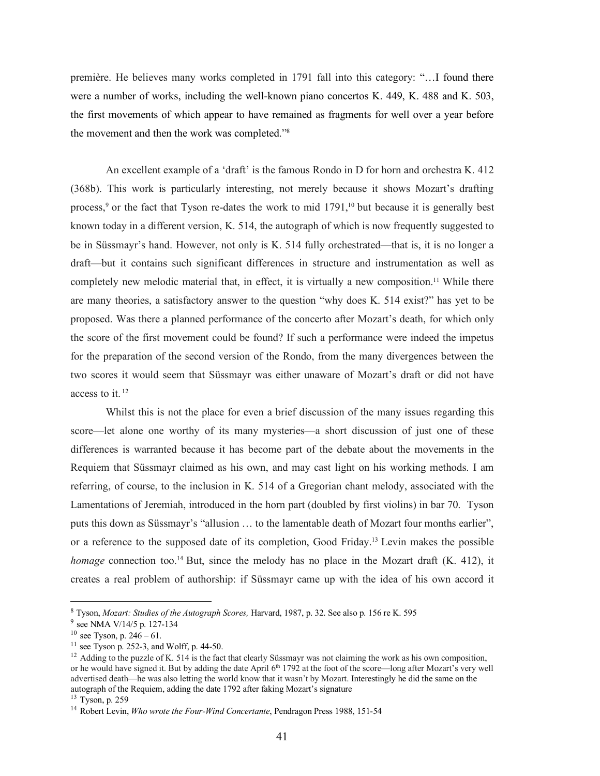première. He believes many works completed in 1791 fall into this category: "…I found there were a number of works, including the well-known piano concertos K. 449, K. 488 and K. 503, the first movements of which appear to have remained as fragments for well over a year before the movement and then the work was completed."8

An excellent example of a 'draft' is the famous Rondo in D for horn and orchestra K. 412 (368b). This work is particularly interesting, not merely because it shows Mozart's drafting process,<sup>9</sup> or the fact that Tyson re-dates the work to mid 1791,<sup>10</sup> but because it is generally best known today in a different version, K. 514, the autograph of which is now frequently suggested to be in Süssmayr's hand. However, not only is K. 514 fully orchestrated—that is, it is no longer a draft—but it contains such significant differences in structure and instrumentation as well as completely new melodic material that, in effect, it is virtually a new composition.<sup>11</sup> While there are many theories, a satisfactory answer to the question "why does K. 514 exist?" has yet to be proposed. Was there a planned performance of the concerto after Mozart's death, for which only the score of the first movement could be found? If such a performance were indeed the impetus for the preparation of the second version of the Rondo, from the many divergences between the two scores it would seem that Süssmayr was either unaware of Mozart's draft or did not have access to it. 12

Whilst this is not the place for even a brief discussion of the many issues regarding this score—let alone one worthy of its many mysteries—a short discussion of just one of these differences is warranted because it has become part of the debate about the movements in the Requiem that Süssmayr claimed as his own, and may cast light on his working methods. I am referring, of course, to the inclusion in K. 514 of a Gregorian chant melody, associated with the Lamentations of Jeremiah, introduced in the horn part (doubled by first violins) in bar 70. Tyson puts this down as Süssmayr's "allusion … to the lamentable death of Mozart four months earlier", or a reference to the supposed date of its completion, Good Friday.13 Levin makes the possible *homage* connection too.<sup>14</sup> But, since the melody has no place in the Mozart draft (K. 412), it creates a real problem of authorship: if Süssmayr came up with the idea of his own accord it

 <sup>8</sup> Tyson, *Mozart: Studies of the Autograph Scores,* Harvard, 1987, p. 32. See also p. <sup>156</sup> re K. <sup>595</sup>

<sup>9</sup> see NMA V/14/5 p. 127-134

 $10$  see Tyson, p. 246 – 61.

 $11$  see Tyson p. 252-3, and Wolff, p. 44-50.

<sup>&</sup>lt;sup>12</sup> Adding to the puzzle of K. 514 is the fact that clearly Süssmayr was not claiming the work as his own composition, or he would have signed it. But by adding the date April 6<sup>th</sup> 1792 at the foot of the score—long after Mozart's very well advertised death—he was also letting the world know that it wasn't by Mozart. Interestingly he did the same on the autograph of the Requiem, adding the date 1792 after faking Mozart's signature

 $13$  Tyson, p. 259

<sup>14</sup> Robert Levin, *Who wrote the Four-Wind Concertante*, Pendragon Press 1988, 151-54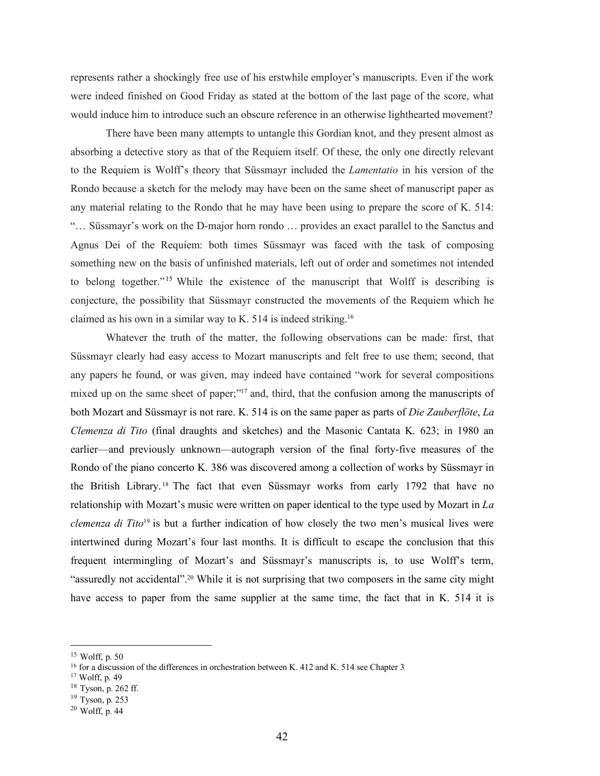represents rather a shockingly free use of his erstwhile employer's manuscripts. Even if the work were indeed finished on Good Friday as stated at the bottom of the last page of the score, what would induce him to introduce such an obscure reference in an otherwise lighthearted movement?

There have been many attempts to untangle this Gordian knot, and they present almost as absorbing a detective story as that of the Requiem itself. Of these, the only one directly relevant to the Requiem is Wolff's theory that Süssmayr included the *Lamentatio* in his version of the Rondo because a sketch for the melody may have been on the same sheet of manuscript paper as any material relating to the Rondo that he may have been using to prepare the score of K. 514: "… Süssmayr's work on the D-major horn rondo … provides an exact parallel to the Sanctus and Agnus Dei of the Requiem: both times Süssmayr was faced with the task of composing something new on the basis of unfinished materials, left out of order and sometimes not intended to belong together."<sup>15</sup> While the existence of the manuscript that Wolff is describing is conjecture, the possibility that Süssmayr constructed the movements of the Requiem which he claimed as his own in a similar way to K. 514 is indeed striking.16

Whatever the truth of the matter, the following observations can be made: first, that Süssmayr clearly had easy access to Mozart manuscripts and felt free to use them; second, that any papers he found, or was given, may indeed have contained "work for several compositions mixed up on the same sheet of paper;"<sup>17</sup> and, third, that the confusion among the manuscripts of both Mozart and Süssmayr is not rare. K. 514 is on the same paper as parts of *Die Zauberflöte*, *La Clemenza di Tito* (final draughts and sketches) and the Masonic Cantata K. 623; in 1980 an earlier—and previously unknown—autograph version of the final forty-five measures of the Rondo of the piano concerto K. 386 was discovered among a collection of works by Süssmayr in the British Library. <sup>18</sup> The fact that even Süssmayr works from early 1792 that have no relationship with Mozart's music were written on paper identical to the type used by Mozart in *La clemenza di Tito*<sup>19</sup> is but a further indication of how closely the two men's musical lives were intertwined during Mozart's four last months. It is difficult to escape the conclusion that this frequent intermingling of Mozart's and Süssmayr's manuscripts is, to use Wolff's term, "assuredly not accidental".20 While it is not surprising that two composers in the same city might have access to paper from the same supplier at the same time, the fact that in K. 514 it is

<sup>18</sup> Tyson, p. 262 ff.

 <sup>15</sup> Wolff, p. <sup>50</sup>

<sup>&</sup>lt;sup>16</sup> for a discussion of the differences in orchestration between K. 412 and K. 514 see Chapter 3

<sup>17</sup> Wolff, p. 49

 $19$  Tyson, p. 253

 $20$  Wolff, p. 44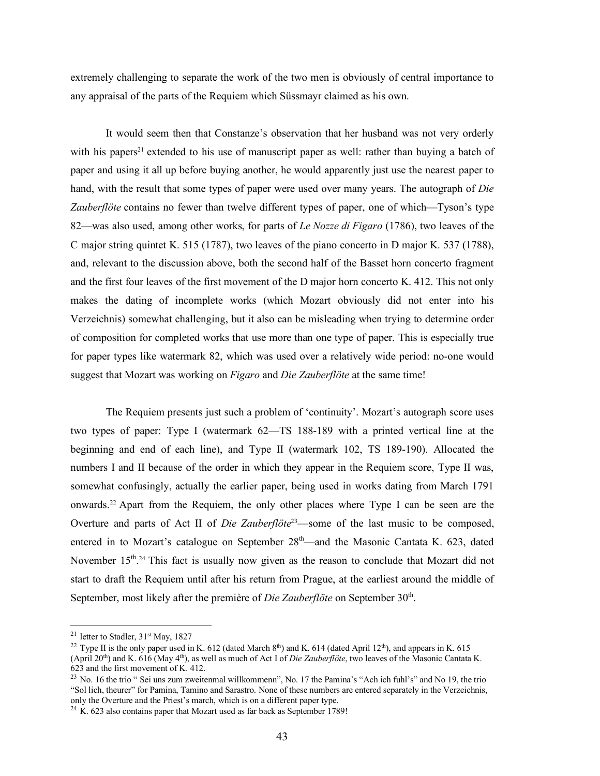extremely challenging to separate the work of the two men is obviously of central importance to any appraisal of the parts of the Requiem which Süssmayr claimed as his own.

It would seem then that Constanze's observation that her husband was not very orderly with his papers<sup>21</sup> extended to his use of manuscript paper as well: rather than buying a batch of paper and using it all up before buying another, he would apparently just use the nearest paper to hand, with the result that some types of paper were used over many years. The autograph of *Die Zauberflöte* contains no fewer than twelve different types of paper, one of which—Tyson's type 82—was also used, among other works, for parts of *Le Nozze di Figaro* (1786), two leaves of the C major string quintet K. 515 (1787), two leaves of the piano concerto in D major K. 537 (1788), and, relevant to the discussion above, both the second half of the Basset horn concerto fragment and the first four leaves of the first movement of the D major horn concerto K. 412. This not only makes the dating of incomplete works (which Mozart obviously did not enter into his Verzeichnis) somewhat challenging, but it also can be misleading when trying to determine order of composition for completed works that use more than one type of paper. This is especially true for paper types like watermark 82, which was used over a relatively wide period: no-one would suggest that Mozart was working on *Figaro* and *Die Zauberflöte* at the same time!

The Requiem presents just such a problem of 'continuity'. Mozart's autograph score uses two types of paper: Type I (watermark 62—TS 188-189 with a printed vertical line at the beginning and end of each line), and Type II (watermark 102, TS 189-190). Allocated the numbers I and II because of the order in which they appear in the Requiem score, Type II was, somewhat confusingly, actually the earlier paper, being used in works dating from March 1791 onwards.22 Apart from the Requiem, the only other places where Type I can be seen are the Overture and parts of Act II of *Die Zauberflöte*23—some of the last music to be composed, entered in to Mozart's catalogue on September  $28<sup>th</sup>$ —and the Masonic Cantata K. 623, dated November 15<sup>th</sup>.<sup>24</sup> This fact is usually now given as the reason to conclude that Mozart did not start to draft the Requiem until after his return from Prague, at the earliest around the middle of September, most likely after the première of *Die Zauberflöte* on September 30<sup>th</sup>.

<sup>&</sup>lt;sup>21</sup> letter to Stadler,  $31<sup>st</sup>$  May, 1827

<sup>&</sup>lt;sup>22</sup> Type II is the only paper used in K. 612 (dated March 8<sup>th</sup>) and K. 614 (dated April 12<sup>th</sup>), and appears in K. 615 (April 20th) and K. 616 (May 4th), as well as much of Act I of *Die Zauberflöte*, two leaves of the Masonic Cantata K. 623 and the first movement of K. 412.

<sup>&</sup>lt;sup>23</sup> No. 16 the trio " Sei uns zum zweitenmal willkommenn", No. 17 the Pamina's "Ach ich fuhl's" and No 19, the trio "Sol lich, theurer" for Pamina, Tamino and Sarastro. None of these numbers are entered separately in the Verzeichnis, only the Overture and the Priest's march, which is on a different paper type.

 $24$  K. 623 also contains paper that Mozart used as far back as September 1789!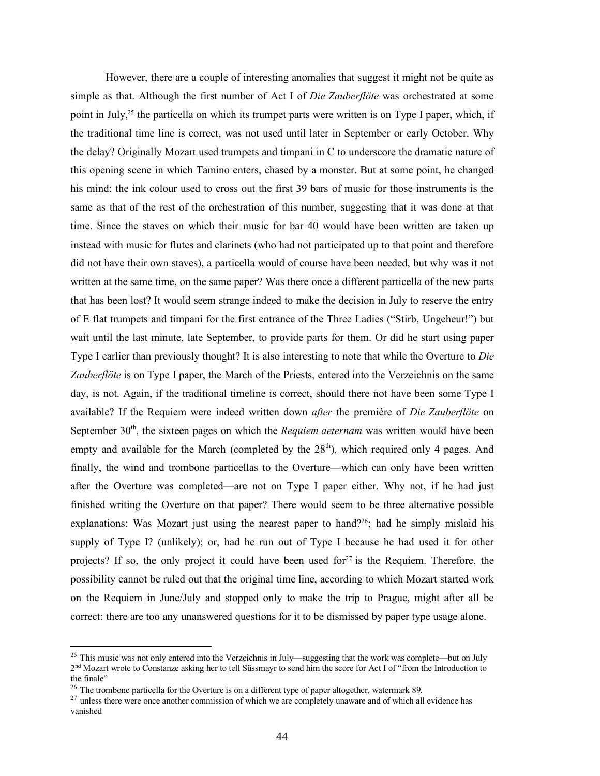However, there are a couple of interesting anomalies that suggest it might not be quite as simple as that. Although the first number of Act I of *Die Zauberflöte* was orchestrated at some point in July,25 the particella on which its trumpet parts were written is on Type I paper, which, if the traditional time line is correct, was not used until later in September or early October. Why the delay? Originally Mozart used trumpets and timpani in C to underscore the dramatic nature of this opening scene in which Tamino enters, chased by a monster. But at some point, he changed his mind: the ink colour used to cross out the first 39 bars of music for those instruments is the same as that of the rest of the orchestration of this number, suggesting that it was done at that time. Since the staves on which their music for bar 40 would have been written are taken up instead with music for flutes and clarinets (who had not participated up to that point and therefore did not have their own staves), a particella would of course have been needed, but why was it not written at the same time, on the same paper? Was there once a different particella of the new parts that has been lost? It would seem strange indeed to make the decision in July to reserve the entry of E flat trumpets and timpani for the first entrance of the Three Ladies ("Stirb, Ungeheur!") but wait until the last minute, late September, to provide parts for them. Or did he start using paper Type I earlier than previously thought? It is also interesting to note that while the Overture to *Die Zauberflöte* is on Type I paper, the March of the Priests, entered into the Verzeichnis on the same day, is not. Again, if the traditional timeline is correct, should there not have been some Type I available? If the Requiem were indeed written down *after* the première of *Die Zauberflöte* on September 30<sup>th</sup>, the sixteen pages on which the *Requiem aeternam* was written would have been empty and available for the March (completed by the  $28<sup>th</sup>$ ), which required only 4 pages. And finally, the wind and trombone particellas to the Overture—which can only have been written after the Overture was completed—are not on Type I paper either. Why not, if he had just finished writing the Overture on that paper? There would seem to be three alternative possible explanations: Was Mozart just using the nearest paper to hand?<sup>26</sup>; had he simply mislaid his supply of Type I? (unlikely); or, had he run out of Type I because he had used it for other projects? If so, the only project it could have been used for $27$  is the Requiem. Therefore, the possibility cannot be ruled out that the original time line, according to which Mozart started work on the Requiem in June/July and stopped only to make the trip to Prague, might after all be correct: there are too any unanswered questions for it to be dismissed by paper type usage alone.

<sup>&</sup>lt;sup>25</sup> This music was not only entered into the Verzeichnis in July—suggesting that the work was complete—but on July 2nd Mozart wrote to Constanze asking her to tell Süssmayr to send him the score for Act I of "from the Introduction to the finale"

<sup>&</sup>lt;sup>26</sup> The trombone particella for the Overture is on a different type of paper altogether, watermark 89.

<sup>&</sup>lt;sup>27</sup> unless there were once another commission of which we are completely unaware and of which all evidence has vanished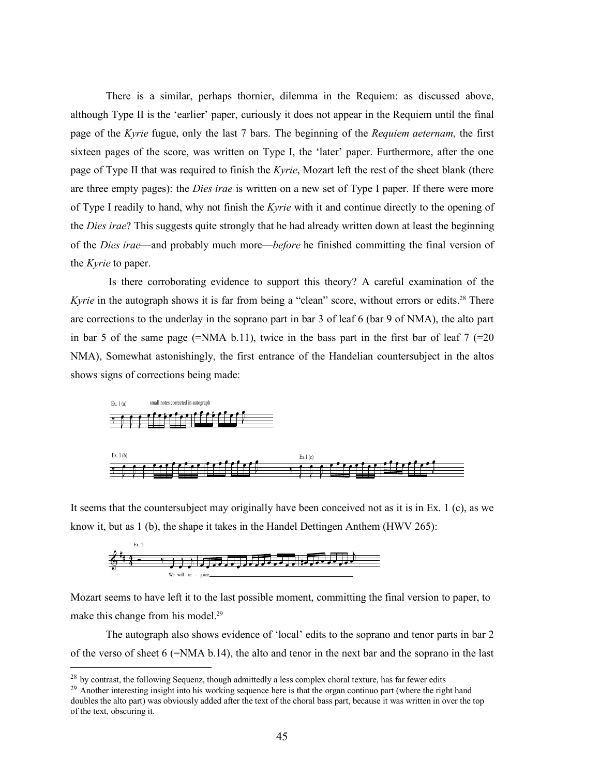There is a similar, perhaps thornier, dilemma in the Requiem: as discussed above, although Type II is the 'earlier' paper, curiously it does not appear in the Requiem until the final page of the *Kyrie* fugue, only the last 7 bars. The beginning of the *Requiem aeternam*, the first sixteen pages of the score, was written on Type I, the 'later' paper. Furthermore, after the one page of Type II that was required to finish the *Kyrie*, Mozart left the rest of the sheet blank (there are three empty pages): the *Dies irae* is written on a new set of Type I paper. If there were more of Type I readily to hand, why not finish the *Kyrie* with it and continue directly to the opening of the *Dies irae*? This suggests quite strongly that he had already written down at least the beginning of the *Dies irae*—and probably much more—*before* he finished committing the final version of the *Kyrie* to paper.

Is there corroborating evidence to support this theory? A careful examination of the Kyrie in the autograph shows it is far from being a "clean" score, without errors or edits.<sup>28</sup> There are corrections to the underlay in the soprano part in bar 3 of leaf 6 (bar 9 of NMA), the alto part in bar 5 of the same page (=NMA b.11), twice in the bass part in the first bar of leaf  $7$  (=20) NMA), Somewhat astonishingly, the first entrance of the Handelian countersubject in the altos shows signs of corrections being made:



It seems that the countersubject may originally have been conceived not as it is in Ex.  $1$  (c), as we know it, but as 1 (b), the shape it takes in the Handel Dettingen Anthem (HWV 265):



Mozart seems to have left it to the last possible moment, committing the final version to paper, to make this change from his model.<sup>29</sup>

The autograph also shows evidence of 'local' edits to the soprano and tenor parts in bar 2 of the verso of sheet  $6$  (=NMA b.14), the alto and tenor in the next bar and the soprano in the last

<sup>&</sup>lt;sup>28</sup> by contrast, the following Sequenz, though admittedly a less complex choral texture, has far fewer edits  $^{29}$  Another interesting insight into his working sequence here is that the organ continuo part (where the ri doubles the alto part) was obviously added after the text of the choral bass part, because it was written in over the top of the text, obscuring it.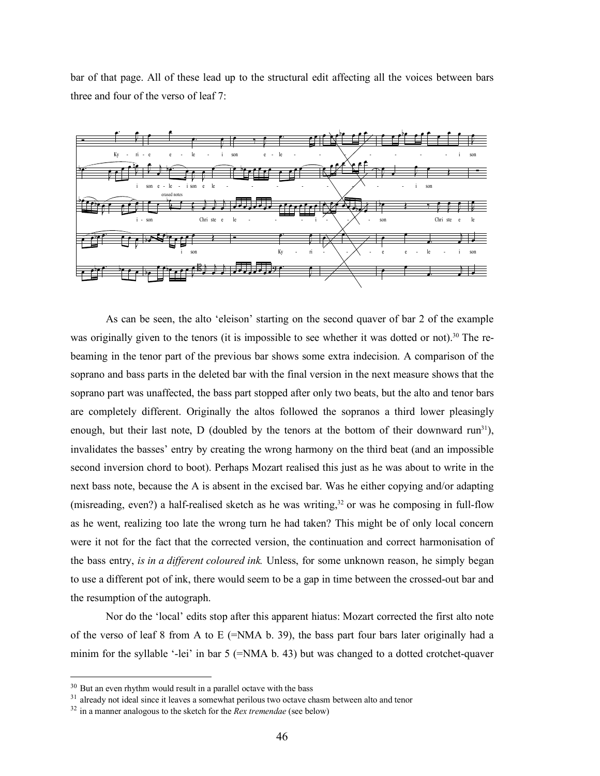bar of that page. All of these lead up to the structural edit affecting all the voices between bars three and four of the verso of leaf 7:



As can be seen, the alto 'eleison' starting on the second quaver of bar 2 of the example was originally given to the tenors (it is impossible to see whether it was dotted or not).<sup>30</sup> The rebeaming in the tenor part of the previous bar shows some extra indecision. A comparison of the soprano and bass parts in the deleted bar with the final version in the next measure shows that the soprano part was unaffected, the bass part stopped after only two beats, but the alto and tenor bars are completely different. Originally the altos followed the sopranos a third lower pleasingly enough, but their last note, D (doubled by the tenors at the bottom of their downward  $run^{31}$ ), invalidates the basses' entry by creating the wrong harmony on the third beat (and an impossible second inversion chord to boot). Perhaps Mozart realised this just as he was about to write in the next bass note, because the A is absent in the excised bar. Was he either copying and/or adapting (misreading, even?) a half-realised sketch as he was writing, $32$  or was he composing in full-flow as he went, realizing too late the wrong turn he had taken? This might be of only local concern were it not for the fact that the corrected version, the continuation and correct harmonisation of the bass entry, *is in a different coloured ink.* Unless, for some unknown reason, he simply began to use a different pot of ink, there would seem to be a gap in time between the crossed-out bar and the resumption of the autograph.

Nor do the 'local' edits stop after this apparent hiatus: Mozart corrected the first alto note of the verso of leaf 8 from A to E ( $=NMA b$ . 39), the bass part four bars later originally had a minim for the syllable '-lei' in bar 5 (=NMA b. 43) but was changed to a dotted crotchet-quaver

 $30$  But an even rhythm would result in a parallel octave with the bass

<sup>&</sup>lt;sup>31</sup> already not ideal since it leaves a somewhat perilous two octave chasm between alto and tenor

<sup>32</sup> in a manner analogous to the sketch for the *Rex tremendae* (see below)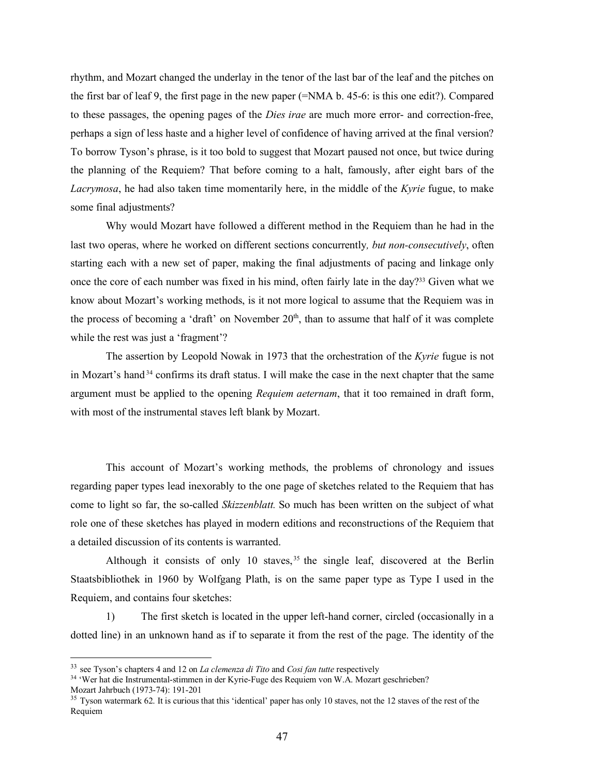rhythm, and Mozart changed the underlay in the tenor of the last bar of the leaf and the pitches on the first bar of leaf 9, the first page in the new paper (=NMA b. 45-6: is this one edit?). Compared to these passages, the opening pages of the *Dies irae* are much more error- and correction-free, perhaps a sign of less haste and a higher level of confidence of having arrived at the final version? To borrow Tyson's phrase, is it too bold to suggest that Mozart paused not once, but twice during the planning of the Requiem? That before coming to a halt, famously, after eight bars of the *Lacrymosa*, he had also taken time momentarily here, in the middle of the *Kyrie* fugue, to make some final adjustments?

Why would Mozart have followed a different method in the Requiem than he had in the last two operas, where he worked on different sections concurrently*, but non-consecutively*, often starting each with a new set of paper, making the final adjustments of pacing and linkage only once the core of each number was fixed in his mind, often fairly late in the day?<sup>33</sup> Given what we know about Mozart's working methods, is it not more logical to assume that the Requiem was in the process of becoming a 'draft' on November  $20<sup>th</sup>$ , than to assume that half of it was complete while the rest was just a 'fragment'?

The assertion by Leopold Nowak in 1973 that the orchestration of the *Kyrie* fugue is not in Mozart's hand <sup>34</sup> confirms its draft status. I will make the case in the next chapter that the same argument must be applied to the opening *Requiem aeternam*, that it too remained in draft form, with most of the instrumental staves left blank by Mozart.

This account of Mozart's working methods, the problems of chronology and issues regarding paper types lead inexorably to the one page of sketches related to the Requiem that has come to light so far, the so-called *Skizzenblatt.* So much has been written on the subject of what role one of these sketches has played in modern editions and reconstructions of the Requiem that a detailed discussion of its contents is warranted.

Although it consists of only 10 staves,<sup>35</sup> the single leaf, discovered at the Berlin Staatsbibliothek in 1960 by Wolfgang Plath, is on the same paper type as Type I used in the Requiem, and contains four sketches:

1) The first sketch is located in the upper left-hand corner, circled (occasionally in a dotted line) in an unknown hand as if to separate it from the rest of the page. The identity of the

 <sup>33</sup> see Tyson's chapters <sup>4</sup> and <sup>12</sup> on *La clemenza di Tito* and *Cosi fan tutte* respectively

<sup>34</sup> 'Wer hat die Instrumental-stimmen in der Kyrie-Fuge des Requiem von W.A. Mozart geschrieben? Mozart Jahrbuch (1973-74): 191-201

<sup>&</sup>lt;sup>35</sup> Tyson watermark 62. It is curious that this 'identical' paper has only 10 staves, not the 12 staves of the rest of the Requiem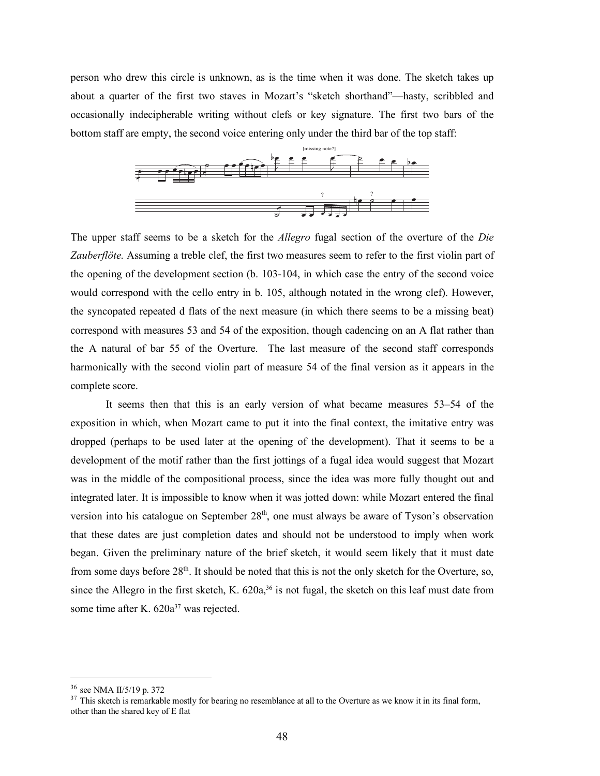person who drew this circle is unknown, as is the time when it was done. The sketch takes up about a quarter of the first two staves in Mozart's "sketch shorthand"—hasty, scribbled and occasionally indecipherable writing without clefs or key signature. The first two bars of the bottom staff are empty, the second voice entering only under the third bar of the top staff:



The upper staff seems to be a sketch for the *Allegro* fugal section of the overture of the *Die Zauberflöte*. Assuming a treble clef, the first two measures seem to refer to the first violin part of the opening of the development section (b. 103-104, in which case the entry of the second voice would correspond with the cello entry in b. 105, although notated in the wrong clef). However, the syncopated repeated d flats of the next measure (in which there seems to be a missing beat) correspond with measures 53 and 54 of the exposition, though cadencing on an A flat rather than the A natural of bar 55 of the Overture. The last measure of the second staff corresponds harmonically with the second violin part of measure 54 of the final version as it appears in the complete score.

It seems then that this is an early version of what became measures 53–54 of the exposition in which, when Mozart came to put it into the final context, the imitative entry was dropped (perhaps to be used later at the opening of the development). That it seems to be a development of the motif rather than the first jottings of a fugal idea would suggest that Mozart was in the middle of the compositional process, since the idea was more fully thought out and integrated later. It is impossible to know when it was jotted down: while Mozart entered the final version into his catalogue on September  $28<sup>th</sup>$ , one must always be aware of Tyson's observation that these dates are just completion dates and should not be understood to imply when work began. Given the preliminary nature of the brief sketch, it would seem likely that it must date from some days before  $28<sup>th</sup>$ . It should be noted that this is not the only sketch for the Overture, so, since the Allegro in the first sketch, K. 620a,<sup>36</sup> is not fugal, the sketch on this leaf must date from some time after K. 620a<sup>37</sup> was rejected.

 <sup>36</sup> see NMA II/5/19 p. <sup>372</sup>

<sup>&</sup>lt;sup>37</sup> This sketch is remarkable mostly for bearing no resemblance at all to the Overture as we know it in its final form, other than the shared key of E flat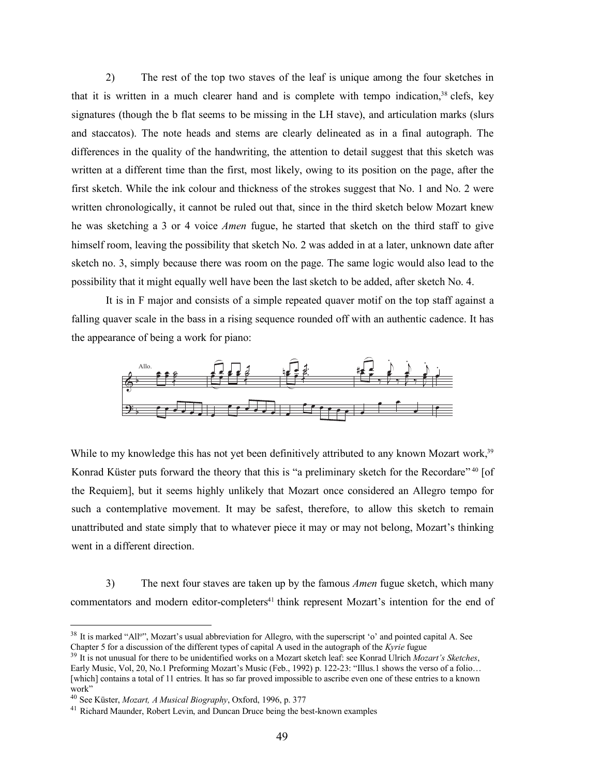2) The rest of the top two staves of the leaf is unique among the four sketches in that it is written in a much clearer hand and is complete with tempo indication, $38$  clefs, key signatures (though the b flat seems to be missing in the LH stave), and articulation marks (slurs and staccatos). The note heads and stems are clearly delineated as in a final autograph. The differences in the quality of the handwriting, the attention to detail suggest that this sketch was written at a different time than the first, most likely, owing to its position on the page, after the first sketch. While the ink colour and thickness of the strokes suggest that No. 1 and No. 2 were written chronologically, it cannot be ruled out that, since in the third sketch below Mozart knew he was sketching a 3 or 4 voice *Amen* fugue, he started that sketch on the third staff to give himself room, leaving the possibility that sketch No. 2 was added in at a later, unknown date after sketch no. 3, simply because there was room on the page. The same logic would also lead to the possibility that it might equally well have been the last sketch to be added, after sketch No. 4.

It is in F major and consists of a simple repeated quaver motif on the top staff against a falling quaver scale in the bass in a rising sequence rounded off with an authentic cadence. It has the appearance of being a work for piano:



While to my knowledge this has not yet been definitively attributed to any known Mozart work,<sup>39</sup> Konrad Küster puts forward the theory that this is "a preliminary sketch for the Recordare" 40 [of the Requiem], but it seems highly unlikely that Mozart once considered an Allegro tempo for such a contemplative movement. It may be safest, therefore, to allow this sketch to remain unattributed and state simply that to whatever piece it may or may not belong, Mozart's thinking went in a different direction.

3) The next four staves are taken up by the famous *Amen* fugue sketch, which many commentators and modern editor-completers<sup>41</sup> think represent Mozart's intention for the end of

<sup>&</sup>lt;sup>38</sup> It is marked "All<sup>o</sup>", Mozart's usual abbreviation for Allegro, with the superscript 'o' and pointed capital A. See Chapter 5 for a discussion of the different types of capital A used in the autograph of the *Kyrie* fugue

<sup>39</sup> It is not unusual for there to be unidentified works on a Mozart sketch leaf: see Konrad Ulrich *Mozart's Sketches*, Early Music, Vol, 20, No.1 Preforming Mozart's Music (Feb., 1992) p. 122-23: "Illus.1 shows the verso of a folio… [which] contains a total of 11 entries. It has so far proved impossible to ascribe even one of these entries to a known work"

<sup>40</sup> See Küster, *Mozart, A Musical Biography*, Oxford, 1996, p. 377

<sup>&</sup>lt;sup>41</sup> Richard Maunder, Robert Levin, and Duncan Druce being the best-known examples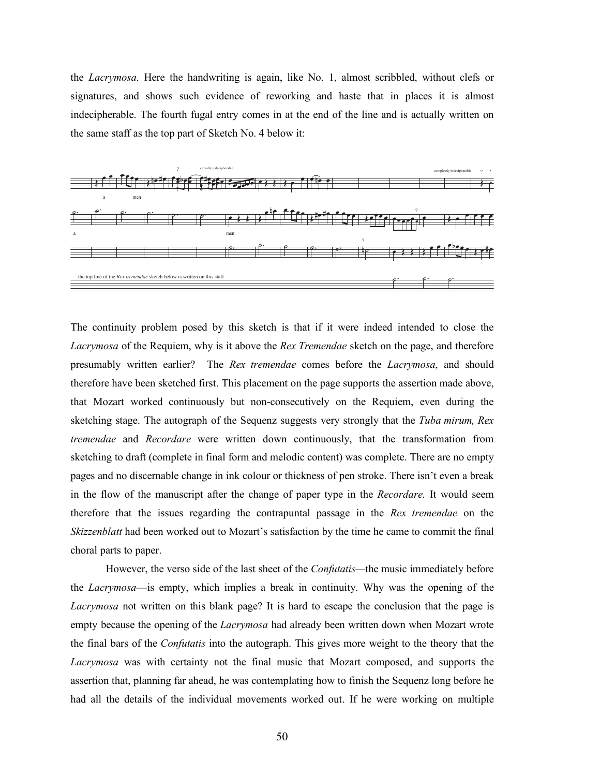the *Lacrymosa*. Here the handwriting is again, like No. 1, almost scribbled, without clefs or signatures, and shows such evidence of reworking and haste that in places it is almost indecipherable. The fourth fugal entry comes in at the end of the line and is actually written on the same staff as the top part of Sketch No. 4 below it:



The continuity problem posed by this sketch is that if it were indeed intended to close the *Lacrymosa* of the Requiem, why is it above the *Rex Tremendae* sketch on the page, and therefore presumably written earlier? The *Rex tremendae* comes before the *Lacrymosa*, and should therefore have been sketched first. This placement on the page supports the assertion made above, that Mozart worked continuously but non-consecutively on the Requiem, even during the sketching stage. The autograph of the Sequenz suggests very strongly that the *Tuba mirum, Rex tremendae* and *Recordare* were written down continuously, that the transformation from sketching to draft (complete in final form and melodic content) was complete. There are no empty pages and no discernable change in ink colour or thickness of pen stroke. There isn't even a break in the flow of the manuscript after the change of paper type in the *Recordare.* It would seem therefore that the issues regarding the contrapuntal passage in the *Rex tremendae* on the *Skizzenblatt* had been worked out to Mozart's satisfaction by the time he came to commit the final choral parts to paper.

However, the verso side of the last sheet of the *Confutatis—*the music immediately before the *Lacrymosa*—is empty, which implies a break in continuity. Why was the opening of the *Lacrymosa* not written on this blank page? It is hard to escape the conclusion that the page is empty because the opening of the *Lacrymosa* had already been written down when Mozart wrote the final bars of the *Confutatis* into the autograph. This gives more weight to the theory that the *Lacrymosa* was with certainty not the final music that Mozart composed, and supports the assertion that, planning far ahead, he was contemplating how to finish the Sequenz long before he had all the details of the individual movements worked out. If he were working on multiple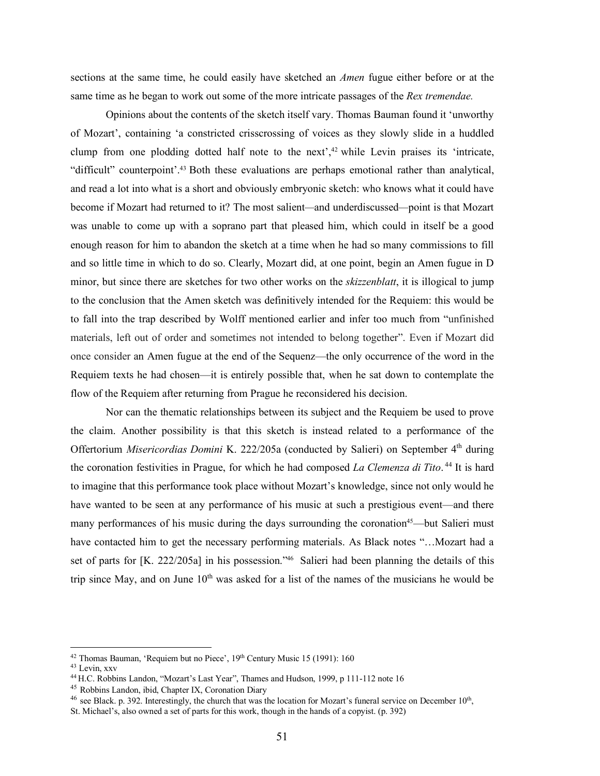sections at the same time, he could easily have sketched an *Amen* fugue either before or at the same time as he began to work out some of the more intricate passages of the *Rex tremendae.*

Opinions about the contents of the sketch itself vary. Thomas Bauman found it 'unworthy of Mozart', containing 'a constricted crisscrossing of voices as they slowly slide in a huddled clump from one plodding dotted half note to the next', <sup>42</sup> while Levin praises its 'intricate, "difficult" counterpoint'. <sup>43</sup> Both these evaluations are perhaps emotional rather than analytical, and read a lot into what is a short and obviously embryonic sketch: who knows what it could have become if Mozart had returned to it? The most salient*—*and underdiscussed*—*point is that Mozart was unable to come up with a soprano part that pleased him, which could in itself be a good enough reason for him to abandon the sketch at a time when he had so many commissions to fill and so little time in which to do so. Clearly, Mozart did, at one point, begin an Amen fugue in D minor, but since there are sketches for two other works on the *skizzenblatt*, it is illogical to jump to the conclusion that the Amen sketch was definitively intended for the Requiem: this would be to fall into the trap described by Wolff mentioned earlier and infer too much from "unfinished materials, left out of order and sometimes not intended to belong together". Even if Mozart did once consider an Amen fugue at the end of the Sequenz—the only occurrence of the word in the Requiem texts he had chosen—it is entirely possible that, when he sat down to contemplate the flow of the Requiem after returning from Prague he reconsidered his decision.

Nor can the thematic relationships between its subject and the Requiem be used to prove the claim. Another possibility is that this sketch is instead related to a performance of the Offertorium *Misericordias Domini* K. 222/205a (conducted by Salieri) on September 4th during the coronation festivities in Prague, for which he had composed *La Clemenza di Tito*. <sup>44</sup> It is hard to imagine that this performance took place without Mozart's knowledge, since not only would he have wanted to be seen at any performance of his music at such a prestigious event—and there many performances of his music during the days surrounding the coronation<sup>45</sup>—but Salieri must have contacted him to get the necessary performing materials. As Black notes "...Mozart had a set of parts for [K. 222/205a] in his possession."<sup>46</sup> Salieri had been planning the details of this trip since May, and on June  $10<sup>th</sup>$  was asked for a list of the names of the musicians he would be

<sup>&</sup>lt;sup>42</sup> Thomas Bauman, 'Requiem but no Piece', 19<sup>th</sup> Century Music 15 (1991): 160

<sup>43</sup> Levin, xxv

<sup>44</sup> H.C. Robbins Landon, "Mozart's Last Year", Thames and Hudson, 1999, p 111-112 note 16

<sup>45</sup> Robbins Landon, ibid, Chapter IX, Coronation Diary

<sup>&</sup>lt;sup>46</sup> see Black. p. 392. Interestingly, the church that was the location for Mozart's funeral service on December  $10<sup>th</sup>$ ,

St. Michael's, also owned a set of parts for this work, though in the hands of a copyist. (p. 392)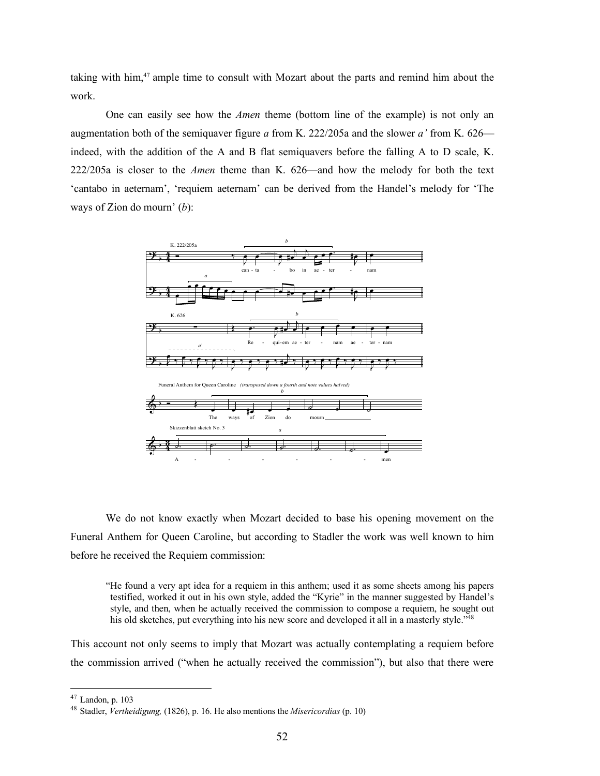taking with him,47 ample time to consult with Mozart about the parts and remind him about the work.

One can easily see how the *Amen* theme (bottom line of the example) is not only an augmentation both of the semiquaver figure *a* from K. 222/205a and the slower *a'* from K. 626 indeed, with the addition of the A and B flat semiquavers before the falling A to D scale, K. 222/205a is closer to the *Amen* theme than K. 626—and how the melody for both the text 'cantabo in aeternam', 'requiem aeternam' can be derived from the Handel's melody for 'The ways of Zion do mourn' (*b*):



We do not know exactly when Mozart decided to base his opening movement on the Funeral Anthem for Queen Caroline, but according to Stadler the work was well known to him before he received the Requiem commission:

"He found a very apt idea for a requiem in this anthem; used it as some sheets among his papers testified, worked it out in his own style, added the "Kyrie" in the manner suggested by Handel's style, and then, when he actually received the commission to compose a requiem, he sought out his old sketches, put everything into his new score and developed it all in a masterly style."<sup>48</sup>

This account not only seems to imply that Mozart was actually contemplating a requiem before the commission arrived ("when he actually received the commission"), but also that there were

 $47$  Landon, p. 103

<sup>48</sup> Stadler, *Vertheidigung,* (1826), p. 16. He also mentions the *Misericordias* (p. 10)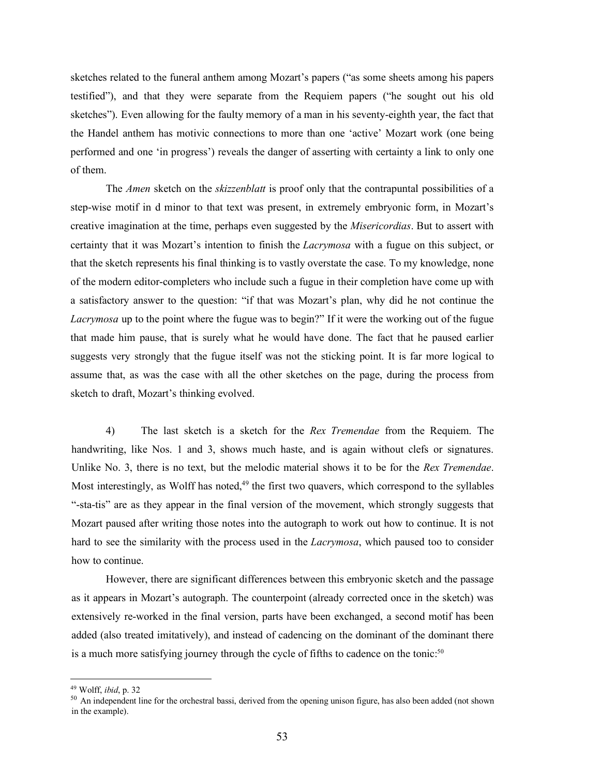sketches related to the funeral anthem among Mozart's papers ("as some sheets among his papers testified"), and that they were separate from the Requiem papers ("he sought out his old sketches"). Even allowing for the faulty memory of a man in his seventy-eighth year, the fact that the Handel anthem has motivic connections to more than one 'active' Mozart work (one being performed and one 'in progress') reveals the danger of asserting with certainty a link to only one of them.

The *Amen* sketch on the *skizzenblatt* is proof only that the contrapuntal possibilities of a step-wise motif in d minor to that text was present, in extremely embryonic form, in Mozart's creative imagination at the time, perhaps even suggested by the *Misericordias*. But to assert with certainty that it was Mozart's intention to finish the *Lacrymosa* with a fugue on this subject, or that the sketch represents his final thinking is to vastly overstate the case. To my knowledge, none of the modern editor-completers who include such a fugue in their completion have come up with a satisfactory answer to the question: "if that was Mozart's plan, why did he not continue the *Lacrymosa* up to the point where the fugue was to begin?" If it were the working out of the fugue that made him pause, that is surely what he would have done. The fact that he paused earlier suggests very strongly that the fugue itself was not the sticking point. It is far more logical to assume that, as was the case with all the other sketches on the page, during the process from sketch to draft, Mozart's thinking evolved.

4) The last sketch is a sketch for the *Rex Tremendae* from the Requiem. The handwriting, like Nos. 1 and 3, shows much haste, and is again without clefs or signatures. Unlike No. 3, there is no text, but the melodic material shows it to be for the *Rex Tremendae*. Most interestingly, as Wolff has noted, $49$  the first two quavers, which correspond to the syllables "-sta-tis" are as they appear in the final version of the movement, which strongly suggests that Mozart paused after writing those notes into the autograph to work out how to continue. It is not hard to see the similarity with the process used in the *Lacrymosa*, which paused too to consider how to continue.

However, there are significant differences between this embryonic sketch and the passage as it appears in Mozart's autograph. The counterpoint (already corrected once in the sketch) was extensively re-worked in the final version, parts have been exchanged, a second motif has been added (also treated imitatively), and instead of cadencing on the dominant of the dominant there is a much more satisfying journey through the cycle of fifths to cadence on the tonic:<sup>50</sup>

 <sup>49</sup> Wolff, *ibid*, p. <sup>32</sup>

<sup>&</sup>lt;sup>50</sup> An independent line for the orchestral bassi, derived from the opening unison figure, has also been added (not shown in the example).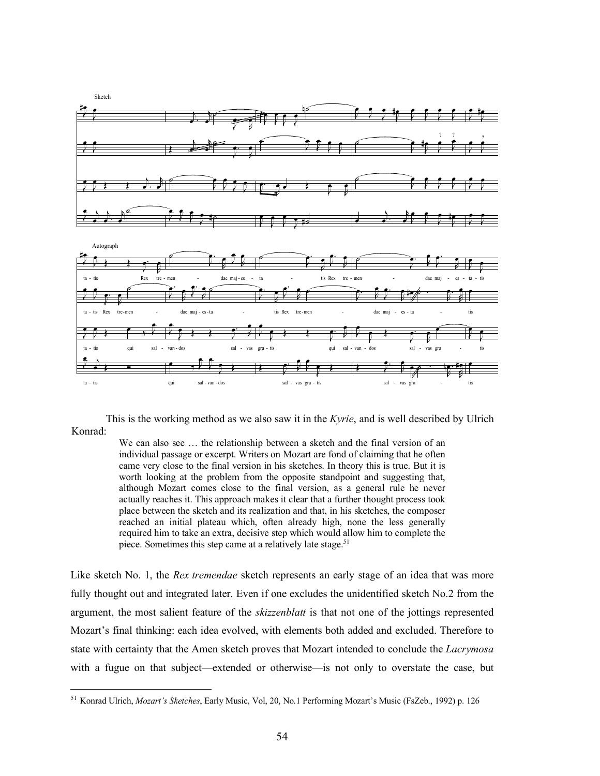

This is the working method as we also saw it in the *Kyrie*, and is well described by Ulrich Konrad:

> We can also see ... the relationship between a sketch and the final version of an individual passage or excerpt. Writers on Mozart are fond of claiming that he often came very close to the final version in his sketches. In theory this is true. But it is worth looking at the problem from the opposite standpoint and suggesting that, although Mozart comes close to the final version, as a general rule he never actually reaches it. This approach makes it clear that a further thought process took place between the sketch and its realization and that, in his sketches, the composer reached an initial plateau which, often already high, none the less generally required him to take an extra, decisive step which would allow him to complete the piece. Sometimes this step came at a relatively late stage.<sup>51</sup>

Like sketch No. 1, the *Rex tremendae* sketch represents an early stage of an idea that was more fully thought out and integrated later. Even if one excludes the unidentified sketch No.2 from the argument, the most salient feature of the *skizzenblatt* is that not one of the jottings represented Mozart's final thinking: each idea evolved, with elements both added and excluded. Therefore to state with certainty that the Amen sketch proves that Mozart intended to conclude the *Lacrymosa* with a fugue on that subject—extended or otherwise—is not only to overstate the case, but

 <sup>51</sup> Konrad Ulrich, *Mozart's Sketches*, Early Music, Vol, 20, No.1 Performing Mozart's Music (FsZeb., 1992) p. <sup>126</sup>